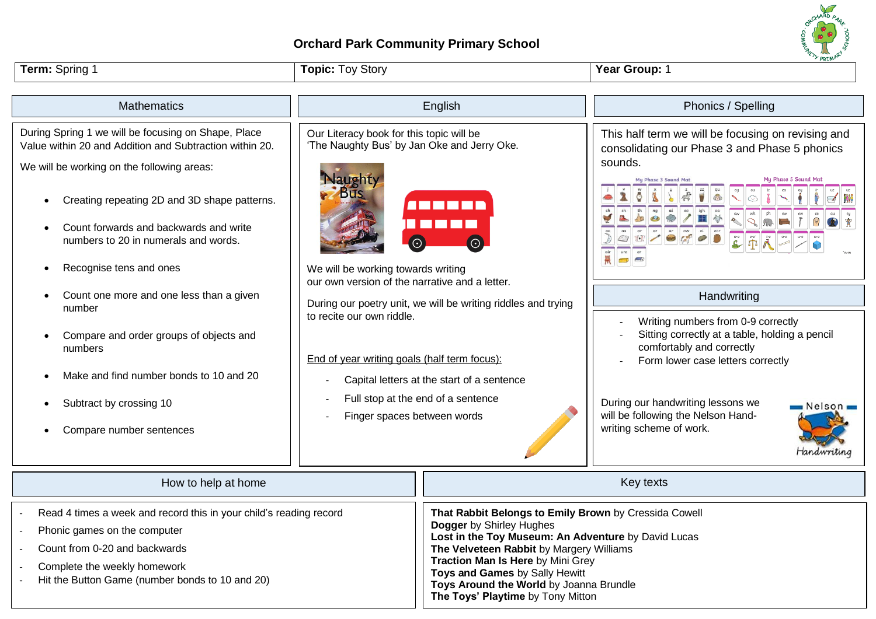## **Orchard Park Community Primary School**

| Term: Spring 1                                                                                                                                                                                                                                                                                                                                                                                  | <b>Topic: Toy Story</b>                                                                                                                                                                                                                                                                                                                                                                                                                                                                                             |                                                                                                                                                                                                                                                                                                        | rkin<br>Year Group: 1                                                                                                                                                                                                                                                                                |
|-------------------------------------------------------------------------------------------------------------------------------------------------------------------------------------------------------------------------------------------------------------------------------------------------------------------------------------------------------------------------------------------------|---------------------------------------------------------------------------------------------------------------------------------------------------------------------------------------------------------------------------------------------------------------------------------------------------------------------------------------------------------------------------------------------------------------------------------------------------------------------------------------------------------------------|--------------------------------------------------------------------------------------------------------------------------------------------------------------------------------------------------------------------------------------------------------------------------------------------------------|------------------------------------------------------------------------------------------------------------------------------------------------------------------------------------------------------------------------------------------------------------------------------------------------------|
| <b>Mathematics</b>                                                                                                                                                                                                                                                                                                                                                                              |                                                                                                                                                                                                                                                                                                                                                                                                                                                                                                                     | English                                                                                                                                                                                                                                                                                                | Phonics / Spelling                                                                                                                                                                                                                                                                                   |
| During Spring 1 we will be focusing on Shape, Place<br>Value within 20 and Addition and Subtraction within 20.<br>We will be working on the following areas:<br>Creating repeating 2D and 3D shape patterns.<br>$\bullet$<br>Count forwards and backwards and write<br>numbers to 20 in numerals and words.<br>Recognise tens and ones<br>$\bullet$<br>Count one more and one less than a given | Our Literacy book for this topic will be<br>'The Naughty Bus' by Jan Oke and Jerry Oke.<br>laughty<br><b>Bus</b><br><u>AMMET I</u><br>$\Theta$<br>$\Theta$<br>We will be working towards writing<br>our own version of the narrative and a letter.<br>During our poetry unit, we will be writing riddles and trying<br>to recite our own riddle.<br>End of year writing goals (half term focus):<br>Capital letters at the start of a sentence<br>Full stop at the end of a sentence<br>Finger spaces between words |                                                                                                                                                                                                                                                                                                        | This half term we will be focusing on revising and<br>consolidating our Phase 3 and Phase 5 phonics<br>sounds.<br>My Phase 5 Sound Mat<br>Handwriting                                                                                                                                                |
| number<br>Compare and order groups of objects and<br>numbers<br>Make and find number bonds to 10 and 20<br>Subtract by crossing 10<br>Compare number sentences                                                                                                                                                                                                                                  |                                                                                                                                                                                                                                                                                                                                                                                                                                                                                                                     |                                                                                                                                                                                                                                                                                                        | Writing numbers from 0-9 correctly<br>Sitting correctly at a table, holding a pencil<br>comfortably and correctly<br>Form lower case letters correctly<br>During our handwriting lessons we<br>$\blacksquare$ Nelson $\blacksquare$<br>will be following the Nelson Hand-<br>writing scheme of work. |
| How to help at home                                                                                                                                                                                                                                                                                                                                                                             |                                                                                                                                                                                                                                                                                                                                                                                                                                                                                                                     |                                                                                                                                                                                                                                                                                                        | Handwriting<br>Key texts                                                                                                                                                                                                                                                                             |
| Read 4 times a week and record this in your child's reading record<br>Phonic games on the computer<br>Count from 0-20 and backwards<br>Complete the weekly homework<br>Hit the Button Game (number bonds to 10 and 20)                                                                                                                                                                          |                                                                                                                                                                                                                                                                                                                                                                                                                                                                                                                     | That Rabbit Belongs to Emily Brown by Cressida Cowell<br>Dogger by Shirley Hughes<br>Lost in the Toy Museum: An Adventure by David Lucas<br>The Velveteen Rabbit by Margery Williams<br>Traction Man Is Here by Mini Grey<br>Toys and Games by Sally Hewitt<br>Toys Around the World by Joanna Brundle |                                                                                                                                                                                                                                                                                                      |

**Toys Around the World** by Joanna Brundle

HARD<sub>A</sub>

**The Toys' Playtime** by Tony Mitton